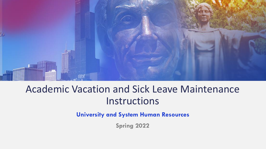

## Academic Vacation and Sick Leave Maintenance Instructions

**University and System Human Resources**

**Spring 2022**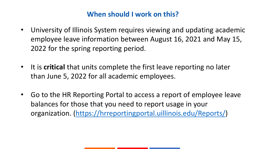## **When should I work on this?**

- University of Illinois System requires viewing and updating academic employee leave information between August 16, 2021 and May 15, 2022 for the spring reporting period.
- It is **critical** that units complete the first leave reporting no later than June 5, 2022 for all academic employees.
- Go to the HR Reporting Portal to access a report of employee leave balances for those that you need to report usage in your organization. [\(https://hrreportingportal.uillinois.edu/Reports/\)](https://hrreportingportal.uillinois.edu/Reports/)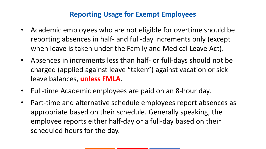## **Reporting Usage for Exempt Employees**

- Academic employees who are not eligible for overtime should be reporting absences in half- and full-day increments only (except when leave is taken under the Family and Medical Leave Act).
- Absences in increments less than half- or full-days should not be charged (applied against leave "taken") against vacation or sick leave balances, **unless FMLA**.
- Full-time Academic employees are paid on an 8-hour day.
- Part-time and alternative schedule employees report absences as appropriate based on their schedule. Generally speaking, the employee reports either half-day or a full-day based on their scheduled hours for the day.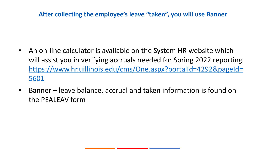## **After collecting the employee's leave "taken", you will use Banner**

- An on-line calculator is available on the System HR website which will assist you in verifying accruals needed for Spring 2022 reporting [https://www.hr.uillinois.edu/cms/One.aspx?portalId=4292&pageId=](https://www.hr.uillinois.edu/cms/One.aspx?portalId=4292&pageId=5601) 5601
- Banner leave balance, accrual and taken information is found on the PEALEAV form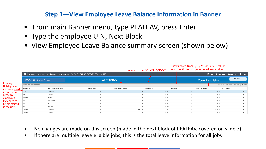#### **Step 1—View Employee Leave Balance Information in Banner**

 $\mathbb{S}$  is the  $\mathbb{S}$  defined from  $\mathbb{S}$  and  $\mathbb{S}$ 

- From main Banner menu, type PEALEAV, press Enter
- Type the employee UIN, Next Block
- View Employee Leave Balance summary screen (shown below)

|                                 |                           |                                                                                                    |               |                            | Accrual from 8/16/21- 5/15/22 | Shows taken from 8/16/21-5/15/22 $-$ Will be<br>zero if unit has not yet entered leave taken |                          |                                                                   |                   |  |
|---------------------------------|---------------------------|----------------------------------------------------------------------------------------------------|---------------|----------------------------|-------------------------------|----------------------------------------------------------------------------------------------|--------------------------|-------------------------------------------------------------------|-------------------|--|
|                                 |                           | X UNIVERSITY OF ILLINOIS SYSTEM Employee Leave Balances PEALEAV 9.3.7 UI SGHE107 (BANPROD) (1UIUC) |               |                            |                               |                                                                                              |                          | <b>B</b> ADD <b>B</b> RETRIEVE <b>A</b> RELATED $\bigoplus$ TOOLS |                   |  |
|                                 | 123456789 Scarlett O Hara |                                                                                                    | As of 8/16/21 |                            |                               |                                                                                              | <b>Current Available</b> |                                                                   | <b>Start Over</b> |  |
| <b>Floating</b><br>Holidays are | LEAVE BALANCE TOTALS      |                                                                                                    |               |                            |                               |                                                                                              |                          | Insert Delete Fun Copy   Y Filter                                 |                   |  |
| not maintained                  | Leave Code                | <b>Leave Code Description</b>                                                                      | Day or Hour   | <b>Total Begin Balance</b> | <b>Total Accrued</b>          | <b>Total Taken</b>                                                                           | <b>Current Available</b> | <b>Total Banked</b>                                               |                   |  |
| in Banner for                   | $F$ FLHL                  | FloatHol                                                                                           | H             | 0.00                       | 0.00                          | 0.00                                                                                         |                          | 0.00                                                              | 0.00              |  |
| academic                        | INEL                      | Ineligbl                                                                                           | Н             | 0.00                       | 0.00                          | 0.00                                                                                         |                          | 0.00                                                              | 0.00              |  |
| employees,                      | SHBN                      | ShBen                                                                                              | H             | 0.00                       | 0.00                          | 0.00                                                                                         |                          | 0.00                                                              | 0.00              |  |
| they need to                    | SICC                      | CompSick                                                                                           | Н             | 0.00                       | 0.00                          | 0.00                                                                                         |                          | 0.00                                                              | 0.00              |  |
| be maintained                   | <b>SICK</b>               | Sick                                                                                               |               | 1,112.00                   | 56.00                         | 0.00                                                                                         |                          | 1,168.00                                                          | 0.00              |  |
| in the unit                     | SICN                      | NoncSick                                                                                           | Н             | 0.00                       | 60.69                         | 0.00                                                                                         |                          | 60.69                                                             | 0.00              |  |
|                                 | VACA                      | Vacation                                                                                           | Н             | 384.00                     | 112.00                        | 0.00                                                                                         |                          | 496.00                                                            | 0.00              |  |
|                                 | VACC                      | VacBal                                                                                             | Н             | 0.00                       | 0.00                          | 0.00                                                                                         |                          | 0.00                                                              | 0.00              |  |

- No changes are made on this screen (made in the next block of PEALEAV, covered on slide 7)
- If there are multiple leave eligible jobs, this is the total leave information for all jobs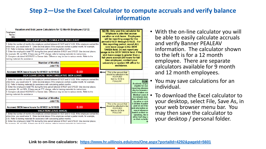## **Step 2—Use the Excel Calculator to compute accruals and verify balance information**



- With the on-line calculator you will be able to easily calculate accruals and verify Banner PEALEAV information. The calculator shown to the left is for a 12 month employee. There are separate calculators available for 9 month and 12 month employees.
- You may save calculations for an individual.
- To download the Excel calculator to your desktop, select File, Save As, in your web browser menu bar. You may then save the calculator to your desktop / personal folder.

**Link to on-line calculators: <https://www.hr.uillinois.edu/cms/One.aspx?portalId=4292&pageId=5601>**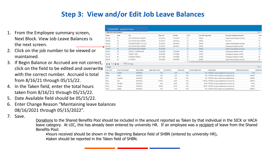## **Step 3: View and/or Edit Job Leave Balances**

- 1. From the Employee summary screen, Next Block. View Job Leave Balances is the next screen.
- 2. Click on the job number to be viewed or maintained.
- 3. If Begin Balance or Accrued are not correct, click on the field to be edited and overwrite with the correct number. Accrued is total from 8/16/21 through 05/15/22.
- 4. In the Taken field, enter the total hours taken from 8/16/21 through 05/15/22.
- 5. Date Available field should be 05/15/22.
- 6. Enter Change Reason "Maintaining leave balances 08/16/2021 through 05/15/2022".
- 7. Save.

Donations to the Shared Benefits Pool should be included in the amount reported as Taken by that individual in the SICK or VACA leave category. At UIC, this has already been entered by university HR. If an employee was a recipient of leave from the Shared Benefits Pool:

•hours received should be shown in the Beginning Balance field of SHBN (entered by university HR),

•taken should be reported in the Taken field of SHBN.

|                                | 123456789 Scarlett O Hara                      |                        |                            |                       |                 |               |                                |                                |                                                     |                             |                  |
|--------------------------------|------------------------------------------------|------------------------|----------------------------|-----------------------|-----------------|---------------|--------------------------------|--------------------------------|-----------------------------------------------------|-----------------------------|------------------|
| <b>EMPLOYEE LEAVE BALANCES</b> |                                                |                        |                            |                       |                 |               |                                |                                |                                                     |                             | <b>日</b> Ins     |
| Position                       | Suffix                                         | Title                  |                            | <b>Begin Date</b>     | <b>End Date</b> |               | COA                            | <b>Time Sheet Organization</b> | <b>Time Sheet Organization Description</b>          |                             | Lea              |
| <b>UA1166</b>                  | 02                                             |                        | ASST DIR HR AND FIN MGMT   | 12/16/2018            | 12/15/2019      |               | 9                              | 904000                         | System Human Resource Services                      |                             | Y3               |
| UB0810                         | $00\,$                                         |                        | ASST DIR HR AND FIN MGMT   | 02/16/2015            | 08/15/2016      |               | 9                              | 699008                         | AITS ITPC                                           |                             | IN               |
| U22550                         | CE                                             |                        | STIPEND INTERNET CELL (LU) | 03/16/2014            | 08/15/2018      |               | 9                              | 904000                         | System Human Resource Services                      |                             | Y3               |
| <b>UA1166</b>                  | 01                                             |                        | ASST DIR HR AND FIN MGMT   | 07/16/2011            | 08/15/2011      |               | q                              | 212000                         | UA Employee Relations and HR                        |                             | IN               |
| <b>UA1166</b>                  | $00\,$                                         |                        | ASST DIR HR AND FIN MGMT   | 12/16/2009            |                 |               | 9                              | 904000                         | System Human Resource Services                      |                             | Y3               |
| U22497                         | 00 <sup>°</sup>                                |                        | PROJECT COORDINATOR        | 07/28/2008            | 12/15/2009      |               | q                              | 212000                         | UA Employee Relations and HR                        |                             | Y3               |
| U22152                         | 00 <sup>°</sup>                                | PROJECT SPEC           |                            | 10/16/2006            | 07/27/2008      |               | 9                              | 212000                         | UA Employee Relations and HR                        |                             | Y3               |
| U22115                         | $00\,$                                         | <b>ACADEMIC HOURLY</b> |                            | 04/17/2006            | 10/15/2006      |               | 9                              | 212000                         | UA Employee Relations and HR                        |                             | $\mathsf{IN}$    |
| U85239                         | 00                                             | AC HOURLY              |                            | 12/21/2003            | 08/15/2005      |               | q                              | 904000                         | System Human Resource Services                      |                             | IN               |
|                                |                                                |                        |                            |                       |                 |               | $\overline{\phantom{a}}$       |                                |                                                     |                             |                  |
| $M \lhd$<br>$\vert$ 1          | of $1 \blacktriangleright \blacktriangleright$ | 10 V Per Page          |                            |                       |                 |               |                                |                                |                                                     |                             |                  |
| DETAILS                        |                                                |                        |                            |                       |                 |               |                                |                                |                                                     |                             | <b>日</b> Ins     |
| Leave Code *                   | <b>Leave Code Description</b>                  |                        | Date Available *           | Begin Balance Hours * | Accrued Hours * | Taken Hours * | <b>Current Available Hours</b> |                                | Change Reason                                       | <b>Maximum Amount Hours</b> | <b>Banked Ho</b> |
| <b>FLHL</b>                    | FloatHol                                       |                        | 09/25/2003                 | 0.00                  | 0.00            | 0.00          |                                |                                | 0.00 PZPUPDT program updated hours accrued, tak     | 0.00                        |                  |
| SHBN                           | ShBen                                          |                        | 08/15/2018                 | 0.00                  | 0.00            | 0.00          |                                |                                | 0.00 PZPUPDT-Sum of rolled hours updated this job   | 9.999.99                    |                  |
| <b>SICC</b>                    | CompSick                                       |                        | 08/15/2018                 | 0.00                  | 0.00            | 0.00          |                                |                                | 0.00 PZPUPDT-Sum of rolled hours updated this job   | 9.999.99                    |                  |
| <b>SICK</b>                    | Sick                                           |                        | 08/15/2018                 | 1.112.00              | 56.00           | 0.00          |                                |                                | 1,168.00 PZPUPDT program updated hours accrued, tak | 9.999.99                    |                  |
| SICN                           | NoncSick                                       |                        | 08/15/2018                 | 0.00                  | 60.69           | 0.00          |                                |                                | 60.69 PZPUPDT program updated hours accrued, tak    | 104.04                      |                  |
| VACA                           | Vacation                                       |                        | 08/15/2018                 | 384.00                | 112.00          | 0.00          |                                |                                | 496.00 PZPUPDT program updated hours accrued, tak   | 576.00                      |                  |
| VACC                           | VacBal                                         |                        | 08/15/2018                 | 0.00                  | 0.00            | 0.00          |                                |                                | 0.00 PZPUPDT-Sum of rolled hours updated this job   | 9.999.00                    |                  |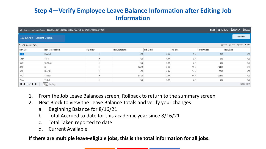## **Step 4—Verify Employee Leave Balance Information after Editing Job Information**

|                              |                               | X UNIVERSITY OF ILLINOIS SYSTEM Employee Leave Balances PEALEAV 9.3.7 UI_SGHE107 (BANPROD) (1UIUC) |                            |                      |                    |                          |                     | A ADD PRETRIEVE <b>A RELATED W</b> TOOLS |
|------------------------------|-------------------------------|----------------------------------------------------------------------------------------------------|----------------------------|----------------------|--------------------|--------------------------|---------------------|------------------------------------------|
| 123456789 Scarlett O Hara    |                               |                                                                                                    |                            |                      |                    |                          |                     | <b>Start Over</b>                        |
| ▼ LEAVE BALANCE TOTALS       |                               |                                                                                                    |                            |                      |                    |                          |                     | <b>Delete</b> Copy <b>Y</b> Filter       |
| Leave Code                   | <b>Leave Code Description</b> | Day or Hour                                                                                        | <b>Total Begin Balance</b> | <b>Total Accrued</b> | <b>Total Taken</b> | <b>Current Available</b> | <b>Total Banked</b> |                                          |
| <b>FLHL</b>                  | FloatHol                      | Η                                                                                                  | 0.00                       | 0.00                 | 0.00               |                          | 0.00                | 0.00                                     |
| SHBN                         | ShBen                         | Η                                                                                                  | 0.00                       | 0.00                 | 0.00               |                          | 0.00                | 0.00                                     |
| SICC                         | CompSick                      | Н                                                                                                  | 0.00                       | 0.00                 | 0.00               |                          | 0.00                | 0.00                                     |
| SICK                         | Sick                          | Η                                                                                                  | 344.00                     | 56.00                | 56.00              | 344.00                   |                     | 0.00                                     |
| SICN                         | NoncSick                      | Η                                                                                                  | 0.00                       | 60.69                | 24.00              |                          | 36.69               | 0.00                                     |
| VACA                         | Vacation                      | Η                                                                                                  | 248.00                     | 112.00               | 64.00              | 296.00                   |                     | 0.00                                     |
| VACC                         | VacBal                        | Η                                                                                                  | 0.00                       | 0.00                 | 0.00               |                          | 0.00                | 0.00                                     |
| $M \triangleleft T$ of 1 $M$ | $\boxed{10}$ Per Page         |                                                                                                    |                            |                      |                    |                          |                     | Record 1 of 7                            |

- 1. From the Job Leave Balances screen, Rollback to return to the summary screen
- 2. Next Block to view the Leave Balance Totals and verify your changes
	- a. Beginning Balance for 8/16/21
	- b. Total Accrued to date for this academic year since 8/16/21
	- c. Total Taken reported to date
	- d. Current Available

**If there are multiple leave-eligible jobs, this is the total information for all jobs.**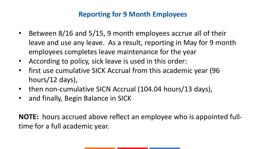## **Reporting for 9 Month Employees**

- Between 8/16 and 5/15, 9 month employees accrue all of their leave and use any leave. As a result, reporting in May for 9 month employees completes leave maintenance for the year
- According to policy, sick leave is used in this order:
- first use cumulative SICK Accrual from this academic year (96 hours/12 days),
- then non-cumulative SICN Accrual (104.04 hours/13 days),
- and finally, Begin Balance in SICK

**NOTE:** hours accrued above reflect an employee who is appointed fulltime for a full academic year.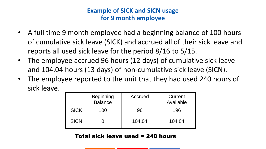## **Example of SICK and SICN usage for 9 month employee**

- A full time 9 month employee had a beginning balance of 100 hours of cumulative sick leave (SICK) and accrued all of their sick leave and reports all used sick leave for the period 8/16 to 5/15.
- The employee accrued 96 hours (12 days) of cumulative sick leave and 104.04 hours (13 days) of non-cumulative sick leave (SICN).
- The employee reported to the unit that they had used 240 hours of sick leave.

|             | <b>Beginning</b><br><b>Balance</b> | Accrued | Current<br>Available |
|-------------|------------------------------------|---------|----------------------|
| <b>SICK</b> | 100                                | 96      | 196                  |
| <b>SICN</b> |                                    | 104.04  | 104.04               |

#### Total sick leave used = 240 hours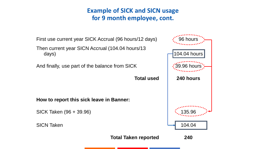## **Example of SICK and SICN usage for 9 month employee, cont.**

First use current year SICK Accrual (96 hours/12 days)  $\cdot$  36 hours

Then current year SICN Accrual (104.04 hours/13 days)  $\Box$  104.04 hours

And finally, use part of the balance from SICK

**How to report this sick leave in Banner:** 

SICK Taken (96 + 39.96) 135.96



**Total Taken reported 240**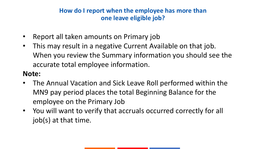## **How do I report when the employee has more than one leave eligible job?**

- Report all taken amounts on Primary job
- This may result in a negative Current Available on that job. When you review the Summary information you should see the accurate total employee information.

## **Note:**

- The Annual Vacation and Sick Leave Roll performed within the MN9 pay period places the total Beginning Balance for the employee on the Primary Job
- You will want to verify that accruals occurred correctly for all job(s) at that time.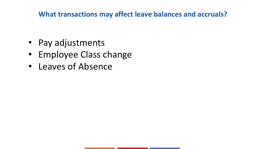## **What transactions may affect leave balances and accruals?**

- Pay adjustments
- Employee Class change
- Leaves of Absence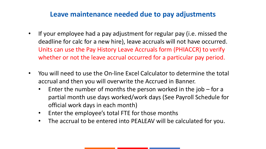## **Leave maintenance needed due to pay adjustments**

- If your employee had a pay adjustment for regular pay (i.e. missed the deadline for calc for a new hire), leave accruals will not have occurred. Units can use the Pay History Leave Accruals form (PHIACCR) to verify whether or not the leave accrual occurred for a particular pay period.
- You will need to use the On-line Excel Calculator to determine the total accrual and then you will overwrite the Accrued in Banner.
	- Enter the number of months the person worked in the job  $-$  for a partial month use days worked/work days (See Payroll Schedule for official work days in each month)
	- Enter the employee's total FTE for those months
	- The accrual to be entered into PEALEAV will be calculated for you.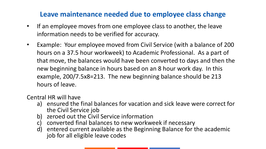## **Leave maintenance needed due to employee class change**

- If an employee moves from one employee class to another, the leave information needs to be verified for accuracy.
- Example: Your employee moved from Civil Service (with a balance of 200 hours on a 37.5 hour workweek) to Academic Professional. As a part of that move, the balances would have been converted to days and then the new beginning balance in hours based on an 8 hour work day. In this example, 200/7.5x8=213. The new beginning balance should be 213 hours of leave.

Central HR will have

- a) ensured the final balances for vacation and sick leave were correct for the Civil Service job
- b) zeroed out the Civil Service information
- c) converted final balances to new workweek if necessary
- d) entered current available as the Beginning Balance for the academic job for all eligible leave codes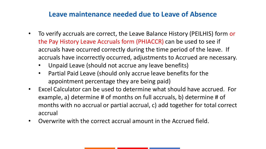## **Leave maintenance needed due to Leave of Absence**

- To verify accruals are correct, the Leave Balance History (PEILHIS) form or the Pay History Leave Accruals form (PHIACCR) can be used to see if accruals have occurred correctly during the time period of the leave. If accruals have incorrectly occurred, adjustments to Accrued are necessary.
	- Unpaid Leave (should not accrue any leave benefits)
	- Partial Paid Leave (should only accrue leave benefits for the appointment percentage they are being paid)
- Excel Calculator can be used to determine what should have accrued. For example, a) determine # of months on full accruals, b) determine # of months with no accrual or partial accrual, c) add together for total correct accrual
- Overwrite with the correct accrual amount in the Accrued field.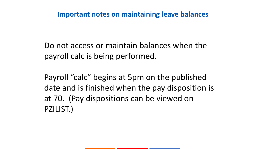## **Important notes on maintaining leave balances**

Do not access or maintain balances when the payroll calc is being performed.

Payroll "calc" begins at 5pm on the published date and is finished when the pay disposition is at 70. (Pay dispositions can be viewed on PZILIST.)